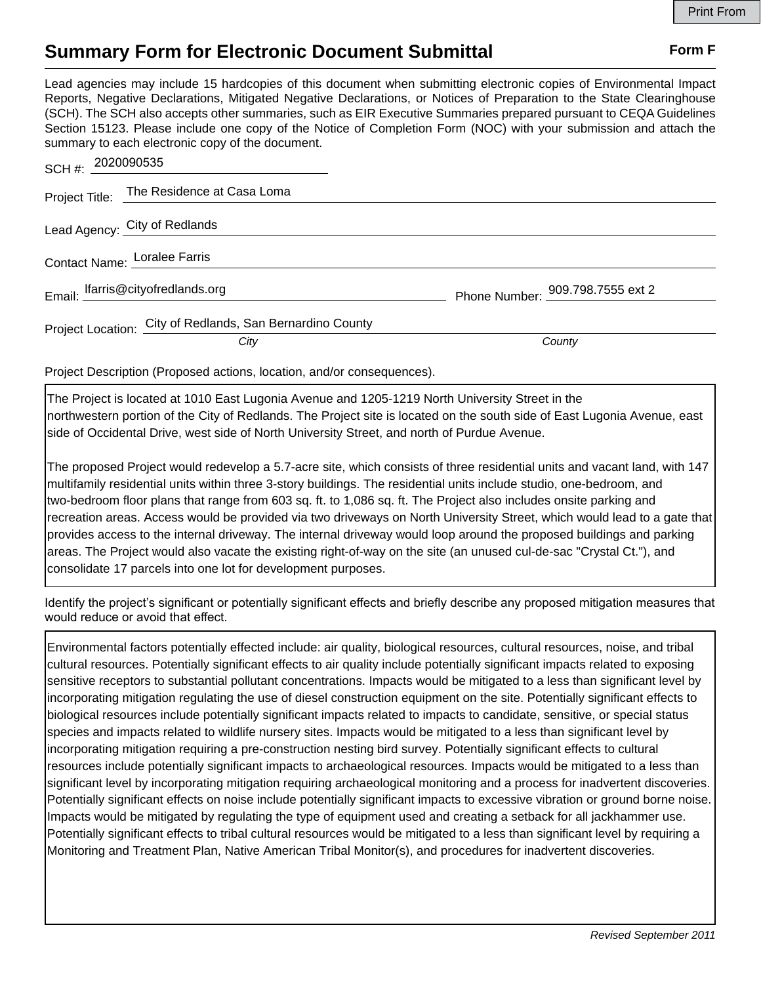## **Summary Form for Electronic Document Submittal Form F Form F**

Lead agencies may include 15 hardcopies of this document when submitting electronic copies of Environmental Impact Reports, Negative Declarations, Mitigated Negative Declarations, or Notices of Preparation to the State Clearinghouse (SCH). The SCH also accepts other summaries, such as EIR Executive Summaries prepared pursuant to CEQA Guidelines Section 15123. Please include one copy of the Notice of Completion Form (NOC) with your submission and attach the summary to each electronic copy of the document.

| SCH #: 2020090535                                         |                                  |
|-----------------------------------------------------------|----------------------------------|
| Project Title: The Residence at Casa Loma                 |                                  |
| Lead Agency: City of Redlands                             |                                  |
| Contact Name: Loralee Farris                              |                                  |
| Email: Ifarris@cityofredlands.org                         | Phone Number: 909.798.7555 ext 2 |
| Project Location: City of Redlands, San Bernardino County |                                  |
| City                                                      | County                           |

Project Description (Proposed actions, location, and/or consequences).

The Project is located at 1010 East Lugonia Avenue and 1205-1219 North University Street in the northwestern portion of the City of Redlands. The Project site is located on the south side of East Lugonia Avenue, east side of Occidental Drive, west side of North University Street, and north of Purdue Avenue.

The proposed Project would redevelop a 5.7-acre site, which consists of three residential units and vacant land, with 147 multifamily residential units within three 3-story buildings. The residential units include studio, one-bedroom, and two-bedroom floor plans that range from 603 sq. ft. to 1,086 sq. ft. The Project also includes onsite parking and recreation areas. Access would be provided via two driveways on North University Street, which would lead to a gate that provides access to the internal driveway. The internal driveway would loop around the proposed buildings and parking areas. The Project would also vacate the existing right-of-way on the site (an unused cul-de-sac "Crystal Ct."), and consolidate 17 parcels into one lot for development purposes.

Identify the project's significant or potentially significant effects and briefly describe any proposed mitigation measures that would reduce or avoid that effect.

Environmental factors potentially effected include: air quality, biological resources, cultural resources, noise, and tribal cultural resources. Potentially significant effects to air quality include potentially significant impacts related to exposing sensitive receptors to substantial pollutant concentrations. Impacts would be mitigated to a less than significant level by incorporating mitigation regulating the use of diesel construction equipment on the site. Potentially significant effects to biological resources include potentially significant impacts related to impacts to candidate, sensitive, or special status species and impacts related to wildlife nursery sites. Impacts would be mitigated to a less than significant level by incorporating mitigation requiring a pre-construction nesting bird survey. Potentially significant effects to cultural resources include potentially significant impacts to archaeological resources. Impacts would be mitigated to a less than significant level by incorporating mitigation requiring archaeological monitoring and a process for inadvertent discoveries. Potentially significant effects on noise include potentially significant impacts to excessive vibration or ground borne noise. Impacts would be mitigated by regulating the type of equipment used and creating a setback for all jackhammer use. Potentially significant effects to tribal cultural resources would be mitigated to a less than significant level by requiring a Monitoring and Treatment Plan, Native American Tribal Monitor(s), and procedures for inadvertent discoveries.